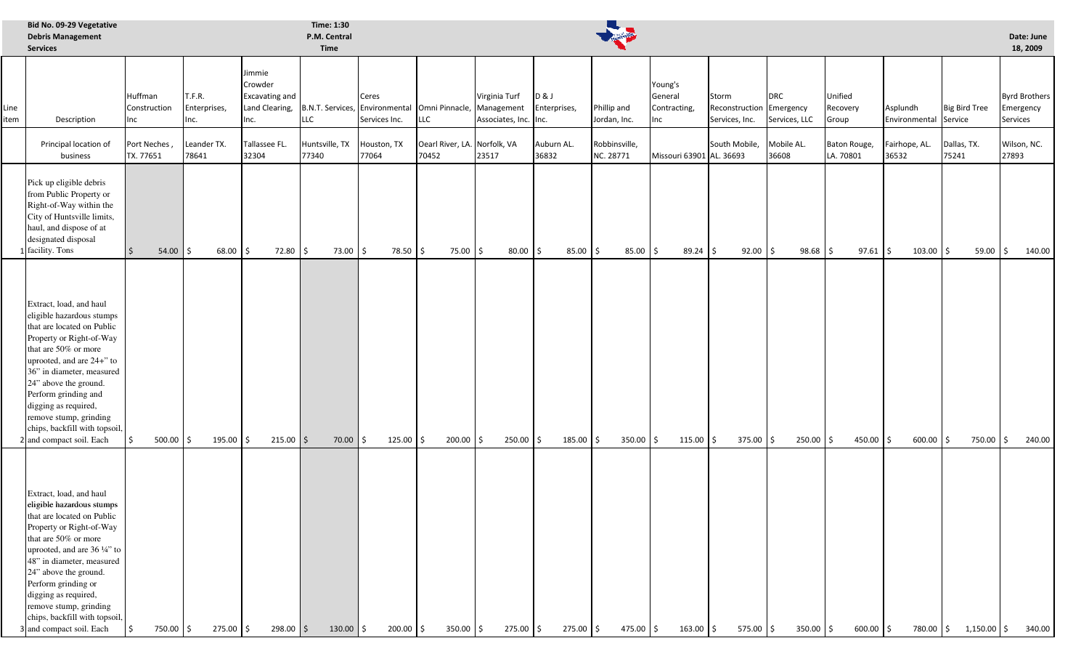|              | Bid No. 09-29 Vegetative<br><b>Debris Management</b><br><b>Services</b>                                                                                                                                                                                                                                                                                            |                                |                                |                                                                      | Time: 1:30<br>P.M. Central<br><b>Time</b>            |                        |                                       |                                                      |                                |                             |                                                  |                                                     |                             |                              |                                   |                      | Date: June<br>18, 2009                        |
|--------------|--------------------------------------------------------------------------------------------------------------------------------------------------------------------------------------------------------------------------------------------------------------------------------------------------------------------------------------------------------------------|--------------------------------|--------------------------------|----------------------------------------------------------------------|------------------------------------------------------|------------------------|---------------------------------------|------------------------------------------------------|--------------------------------|-----------------------------|--------------------------------------------------|-----------------------------------------------------|-----------------------------|------------------------------|-----------------------------------|----------------------|-----------------------------------------------|
| Line<br>item | Description                                                                                                                                                                                                                                                                                                                                                        | Huffman<br>Construction<br>Inc | T.F.R.<br>Enterprises,<br>Inc. | Jimmie<br>Crowder<br><b>Excavating and</b><br>Land Clearing,<br>Inc. | B.N.T. Services, Environmental Omni Pinnacle,<br>LLC | Ceres<br>Services Inc. | <b>LLC</b>                            | Virginia Turf<br>Management<br>Associates, Inc. Inc. | <b>D&amp;J</b><br>Enterprises, | Phillip and<br>Jordan, Inc. | Young's<br>General<br>Contracting,<br><b>Inc</b> | Storm<br>Reconstruction Emergency<br>Services, Inc. | <b>DRC</b><br>Services, LLC | Unified<br>Recovery<br>Group | Asplundh<br>Environmental Service | <b>Big Bird Tree</b> | <b>Byrd Brothers</b><br>Emergency<br>Services |
|              | Principal location of<br>business                                                                                                                                                                                                                                                                                                                                  | Port Neches,<br>TX. 77651      | Leander TX.<br>78641           | Tallassee FL.<br>32304                                               | Huntsville, TX<br>77340                              | Houston, TX<br>77064   | Oearl River, LA. Norfolk, VA<br>70452 | 23517                                                | Auburn AL.<br>36832            | Robbinsville,<br>NC. 28771  | Missouri 63901 AL. 36693                         | South Mobile,                                       | Mobile AL.<br>36608         | Baton Rouge,<br>LA. 70801    | Fairhope, AL.<br>36532            | Dallas, TX.<br>75241 | Wilson, NC.<br>27893                          |
|              | Pick up eligible debris<br>from Public Property or<br>Right-of-Way within the<br>City of Huntsville limits,<br>haul, and dispose of at<br>designated disposal<br>facility. Tons                                                                                                                                                                                    | 54.00                          | 68.00<br>$\ddot{\mathsf{S}}$   | 72.80 \$<br>I\$                                                      | 73.00 \$                                             | 78.50                  | 75.00 \$<br>l \$                      | 80.00                                                | 85.00<br>$\mathsf{S}$          | $85.00$ \$<br>Ŝ.            | 89.24                                            | $92.00$ \$                                          | $98.68$ \$                  | 97.61                        | $103.00$ \$<br>\$                 | 59.00                | 140.00                                        |
|              | Extract, load, and haul<br>eligible hazardous stumps<br>that are located on Public<br>Property or Right-of-Way<br>that are 50% or more<br>uprooted, and are 24+" to<br>36" in diameter, measured<br>24" above the ground.<br>Perform grinding and<br>digging as required,<br>remove stump, grinding<br>chips, backfill with topsoil,<br>2 and compact soil. Each   | $500.00$ \$<br>Ŝ.              | $195.00$ \$                    | $215.00$ \$                                                          | $70.00$   \$                                         | $125.00$ \$            | $200.00$ \$                           | $250.00$ \$                                          | 185.00                         | $350.00$ \$<br>I\$          | $115.00$ \$                                      | $375.00$ \$                                         | $250.00$ \$                 | $450.00$ \$                  | $600.00$ \$                       | 750.00 \$            | 240.00                                        |
|              | Extract, load, and haul<br>eligible hazardous stumps<br>that are located on Public<br>Property or Right-of-Way<br>that are 50% or more<br>uprooted, and are 36 1/4" to<br>48" in diameter, measured<br>24" above the ground.<br>Perform grinding or<br>digging as required,<br>remove stump, grinding<br>chips, backfill with topsoil,<br>3 and compact soil. Each | 750.00 \$                      | 275.00 \$                      | $298.00$ \$                                                          | $130.00$ \$                                          | $200.00$ \$            | $350.00$ \$                           | 275.00 \$                                            | 275.00                         | 475.00 \$<br>I \$           | $163.00$ \$                                      | 575.00 \$                                           | $350.00$ \$                 | $600.00$ \$                  | 780.00 \$                         | $1,150.00$ \$        | 340.00                                        |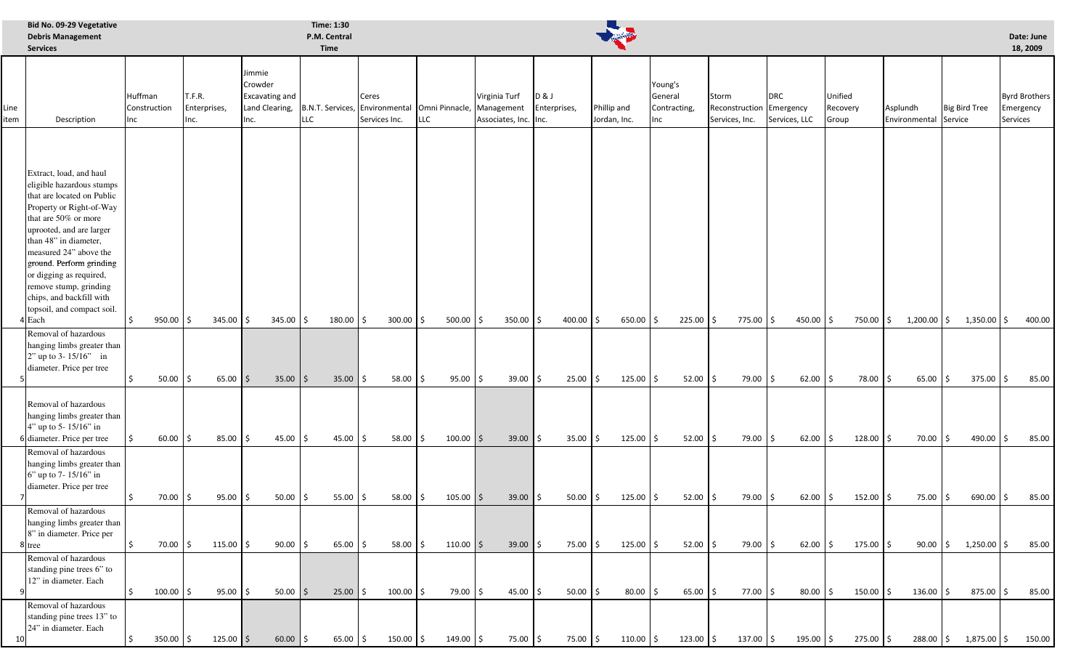|              | Bid No. 09-29 Vegetative<br><b>Debris Management</b><br><b>Services</b>                                                                                                                                                                                                                                                                                          |                                                                                                                                   |                     |                           |                                                                         |                            | Time: 1:30<br>P.M. Central<br><b>Time</b> |          |                                                      |      |                           |                             |            |                                           |  |                                                     |  |                             |                              |                      |                                   |  | Date: June<br>18, 2009  |  |                                               |                         |              |                |
|--------------|------------------------------------------------------------------------------------------------------------------------------------------------------------------------------------------------------------------------------------------------------------------------------------------------------------------------------------------------------------------|-----------------------------------------------------------------------------------------------------------------------------------|---------------------|---------------------------|-------------------------------------------------------------------------|----------------------------|-------------------------------------------|----------|------------------------------------------------------|------|---------------------------|-----------------------------|------------|-------------------------------------------|--|-----------------------------------------------------|--|-----------------------------|------------------------------|----------------------|-----------------------------------|--|-------------------------|--|-----------------------------------------------|-------------------------|--------------|----------------|
| Line<br>item | Description                                                                                                                                                                                                                                                                                                                                                      | Jimmie<br>Crowder<br>T.F.R.<br>Huffman<br>Excavating and<br>Construction<br>Enterprises,<br>Land Clearing,<br>Inc.<br>Inc.<br>Inc |                     | <b>LLC</b>                | Ceres<br>B.N.T. Services, Environmental Omni Pinnacle,<br>Services Inc. |                            | LLC                                       |          | Virginia Turf<br>Management<br>Associates, Inc. Inc. |      | D&J<br>Enterprises,       | Phillip and<br>Jordan, Inc. |            | Young's<br>General<br>Contracting,<br>Inc |  | Storm<br>Reconstruction Emergency<br>Services, Inc. |  | <b>DRC</b><br>Services, LLC | Unified<br>Recovery<br>Group |                      | Asplundh<br>Environmental Service |  | <b>Big Bird Tree</b>    |  | <b>Byrd Brothers</b><br>Emergency<br>Services |                         |              |                |
|              | Extract, load, and haul<br>eligible hazardous stumps<br>that are located on Public<br>Property or Right-of-Way<br>that are 50% or more<br>uprooted, and are larger<br>than 48" in diameter,<br>measured 24" above the<br>ground. Perform grinding<br>or digging as required,<br>remove stump, grinding<br>chips, and backfill with<br>topsoil, and compact soil. |                                                                                                                                   |                     |                           |                                                                         |                            |                                           |          |                                                      |      |                           |                             |            |                                           |  |                                                     |  |                             |                              |                      |                                   |  |                         |  |                                               |                         |              |                |
|              | 4 Each<br>Removal of hazardous<br>hanging limbs greater than<br>$2"$ up to 3-15/16" in<br>diameter. Price per tree                                                                                                                                                                                                                                               |                                                                                                                                   | $950.00$ \$         | $345.00$ \$               |                                                                         | $345.00$ \$                | $180.00$ \$                               |          | $300.00$ \$                                          |      | $500.00$ \$               | $350.00$ \$                 |            | $400.00$ \$                               |  | 650.00 \$                                           |  | $225.00$ \$                 |                              | 775.00 \$            | $450.00$ \$                       |  | 750.00 \$               |  | $1,200.00$ \$                                 | $1,350.00$ \$           |              | 400.00         |
|              | Removal of hazardous<br>hanging limbs greater than<br>4" up to 5-15/16" in<br>6 diameter. Price per tree                                                                                                                                                                                                                                                         |                                                                                                                                   | $50.00$ \$<br>60.00 | $65.00$ \$<br>85.00<br>\$ | ۱\$                                                                     | $35.00$   \$<br>$45.00$ \$ | 35.00<br>45.00                            | Ś.<br>Ś. | $58.00$ \$<br>58.00                                  | S.   | $95.00$ \$<br>$100.00$ \$ | 39.00                       | $39.00$ \$ | $25.00$ \$<br>$35.00$ \$<br>Ŝ.            |  | $125.00$ \$<br>$125.00$ \$                          |  | $52.00$ \$<br>$52.00$ \$    |                              | 79.00 \$<br>79.00 \$ | $62.00$ \$<br>$62.00$ \$          |  | 78.00 \$<br>$128.00$ \$ |  | 65.00<br>$70.00$ \$                           | 375.00<br>I\$<br>490.00 | \$<br>\$     | 85.00<br>85.00 |
|              | Removal of hazardous<br>hanging limbs greater than<br>6" up to 7-15/16" in<br>diameter. Price per tree                                                                                                                                                                                                                                                           | $\sim$                                                                                                                            | 70.00 \$            | $95.00$ \$                |                                                                         | $50.00$ \$                 | $55.00$ \$                                |          | 58.00 \$                                             |      | $105.00$ \$               |                             | $39.00$ \$ | $50.00\frac{1}{5}$                        |  | $125.00$ \$                                         |  |                             | $52.00$ \$                   |                      | 79.00 \$<br>$62.00$ \$            |  | 152.00 \$               |  | 75.00 \$                                      | 690.00 \$               |              | 85.00          |
|              | Removal of hazardous<br>hanging limbs greater than<br>8" in diameter. Price per<br>8 tree                                                                                                                                                                                                                                                                        | Ś.                                                                                                                                | 70.00 \$            | $115.00$ \$               |                                                                         | $90.00$ \$                 | 65.00                                     | Ś.       | 58.00                                                | l\$  | $110.00$   \$             | 39.00                       |            | 75.00 \$<br>Ŝ.                            |  | $125.00$ \$                                         |  | $52.00$ \$                  |                              | 79.00 \$             | $62.00$ \$                        |  | $175.00$ \$             |  | $90.00$ \$                                    | $1,250.00$ \$           |              | 85.00          |
|              | Removal of hazardous<br>standing pine trees 6" to<br>12" in diameter. Each                                                                                                                                                                                                                                                                                       | \$.                                                                                                                               | $100.00$ \$         | 95.00                     | l \$                                                                    | $50.00$   \$               | 25.00                                     | Ś.       | 100.00                                               | l \$ | 79.00 \$                  | 45.00                       |            | $50.00$ \$                                |  | $80.00$ \$                                          |  | $65.00$ \$                  |                              | 77.00 \$             | $80.00$ \$                        |  | $150.00$ \$             |  | 136.00                                        | 875.00<br>I\$           | $\mathsf{S}$ | 85.00          |
| -10          | Removal of hazardous<br>standing pine trees 13" to<br>24" in diameter. Each                                                                                                                                                                                                                                                                                      |                                                                                                                                   | $350.00$ \$         | $125.00$ \$               |                                                                         | $60.00$   \$               | 65.00                                     | \$       | $150.00$ \$                                          |      | $149.00$ \$               |                             | 75.00 \$   | 75.00 \$                                  |  | $110.00$ \$                                         |  | $123.00$ \$                 | $137.00$ \$                  |                      | $195.00$ \$                       |  | $275.00$ \$             |  | $288.00$ \$                                   | 1,875.00 \$             |              | 150.00         |